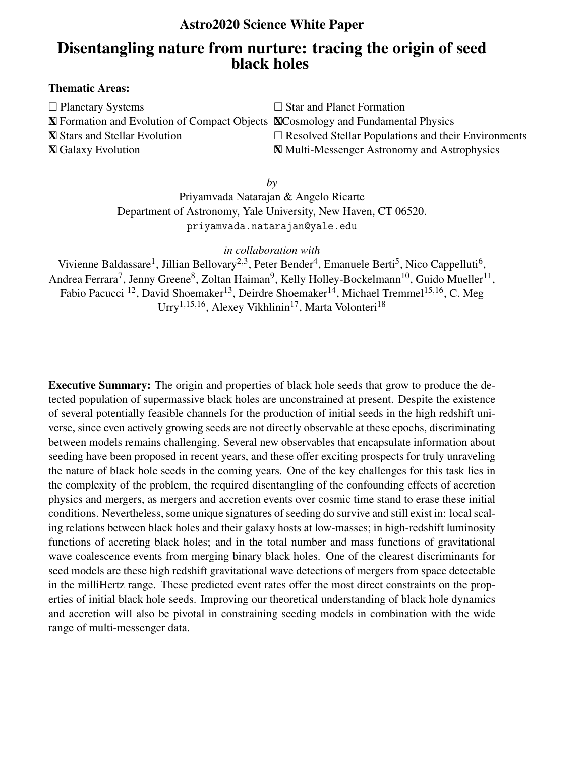## Astro2020 Science White Paper

# Disentangling nature from nurture: tracing the origin of seed black holes

## Thematic Areas:

| $\Box$ Planetary Systems                                                                       | $\Box$ Star and Planet Formation                           |
|------------------------------------------------------------------------------------------------|------------------------------------------------------------|
| <b>X</b> Formation and Evolution of Compact Objects <b>X</b> Cosmology and Fundamental Physics |                                                            |
| <b>X</b> Stars and Stellar Evolution                                                           | $\Box$ Resolved Stellar Populations and their Environments |
| <b>X</b> Galaxy Evolution                                                                      | <b>X</b> Multi-Messenger Astronomy and Astrophysics        |

*by*

Priyamvada Natarajan & Angelo Ricarte Department of Astronomy, Yale University, New Haven, CT 06520. priyamvada.natarajan@yale.edu

*in collaboration with*

Vivienne Baldassare<sup>1</sup>, Jillian Bellovary<sup>2,3</sup>, Peter Bender<sup>4</sup>, Emanuele Berti<sup>5</sup>, Nico Cappelluti<sup>6</sup>, Andrea Ferrara<sup>7</sup>, Jenny Greene<sup>8</sup>, Zoltan Haiman<sup>9</sup>, Kelly Holley-Bockelmann<sup>10</sup>, Guido Mueller<sup>11</sup>, Fabio Pacucci <sup>12</sup>, David Shoemaker<sup>13</sup>, Deirdre Shoemaker<sup>14</sup>, Michael Tremmel<sup>15,16</sup>, C. Meg Urry<sup>1,15,16</sup>, Alexey Vikhlinin<sup>17</sup>, Marta Volonteri<sup>18</sup>

Executive Summary: The origin and properties of black hole seeds that grow to produce the detected population of supermassive black holes are unconstrained at present. Despite the existence of several potentially feasible channels for the production of initial seeds in the high redshift universe, since even actively growing seeds are not directly observable at these epochs, discriminating between models remains challenging. Several new observables that encapsulate information about seeding have been proposed in recent years, and these offer exciting prospects for truly unraveling the nature of black hole seeds in the coming years. One of the key challenges for this task lies in the complexity of the problem, the required disentangling of the confounding effects of accretion physics and mergers, as mergers and accretion events over cosmic time stand to erase these initial conditions. Nevertheless, some unique signatures of seeding do survive and still exist in: local scaling relations between black holes and their galaxy hosts at low-masses; in high-redshift luminosity functions of accreting black holes; and in the total number and mass functions of gravitational wave coalescence events from merging binary black holes. One of the clearest discriminants for seed models are these high redshift gravitational wave detections of mergers from space detectable in the milliHertz range. These predicted event rates offer the most direct constraints on the properties of initial black hole seeds. Improving our theoretical understanding of black hole dynamics and accretion will also be pivotal in constraining seeding models in combination with the wide range of multi-messenger data.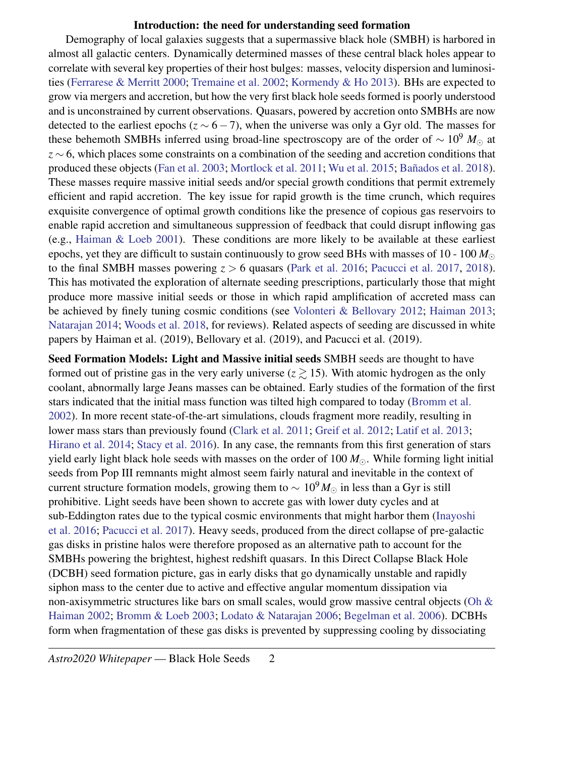## Introduction: the need for understanding seed formation

Demography of local galaxies suggests that a supermassive black hole (SMBH) is harbored in almost all galactic centers. Dynamically determined masses of these central black holes appear to correlate with several key properties of their host bulges: masses, velocity dispersion and luminosities [\(Ferrarese & Merritt](#page-5-0) [2000;](#page-5-0) [Tremaine et al.](#page-6-0) [2002;](#page-6-0) [Kormendy & Ho](#page-6-1) [2013\)](#page-6-1). BHs are expected to grow via mergers and accretion, but how the very first black hole seeds formed is poorly understood and is unconstrained by current observations. Quasars, powered by accretion onto SMBHs are now detected to the earliest epochs ( $z \sim 6-7$ ), when the universe was only a Gyr old. The masses for these behemoth SMBHs inferred using broad-line spectroscopy are of the order of  $\sim 10^9$  *M*<sub>⊙</sub> at *z* ∼ 6, which places some constraints on a combination of the seeding and accretion conditions that produced these objects [\(Fan et al.](#page-5-1) [2003;](#page-5-1) [Mortlock et al.](#page-6-2) [2011;](#page-6-2) [Wu et al.](#page-7-0) [2015;](#page-7-0) Bañados et al. [2018\)](#page-5-2). These masses require massive initial seeds and/or special growth conditions that permit extremely efficient and rapid accretion. The key issue for rapid growth is the time crunch, which requires exquisite convergence of optimal growth conditions like the presence of copious gas reservoirs to enable rapid accretion and simultaneous suppression of feedback that could disrupt inflowing gas (e.g., [Haiman & Loeb](#page-6-3) [2001\)](#page-6-3). These conditions are more likely to be available at these earliest epochs, yet they are difficult to sustain continuously to grow seed BHs with masses of 10 - 100  $M_{\odot}$ to the final SMBH masses powering *z* > 6 quasars [\(Park et al.](#page-6-4) [2016;](#page-6-4) [Pacucci et al.](#page-6-5) [2017,](#page-6-5) [2018\)](#page-6-6). This has motivated the exploration of alternate seeding prescriptions, particularly those that might produce more massive initial seeds or those in which rapid amplification of accreted mass can be achieved by finely tuning cosmic conditions (see [Volonteri & Bellovary](#page-7-1) [2012;](#page-7-1) [Haiman](#page-6-7) [2013;](#page-6-7) [Natarajan](#page-6-8) [2014;](#page-6-8) [Woods et al.](#page-7-2) [2018,](#page-7-2) for reviews). Related aspects of seeding are discussed in white papers by Haiman et al. (2019), Bellovary et al. (2019), and Pacucci et al. (2019).

Seed Formation Models: Light and Massive initial seeds SMBH seeds are thought to have formed out of pristine gas in the very early universe  $(z \ge 15)$ . With atomic hydrogen as the only coolant, abnormally large Jeans masses can be obtained. Early studies of the formation of the first stars indicated that the initial mass function was tilted high compared to today [\(Bromm et al.](#page-5-3) [2002\)](#page-5-3). In more recent state-of-the-art simulations, clouds fragment more readily, resulting in lower mass stars than previously found [\(Clark et al.](#page-5-4) [2011;](#page-5-4) [Greif et al.](#page-5-5) [2012;](#page-5-5) [Latif et al.](#page-6-9) [2013;](#page-6-9) [Hirano et al.](#page-6-10) [2014;](#page-6-10) [Stacy et al.](#page-6-11) [2016\)](#page-6-11). In any case, the remnants from this first generation of stars yield early light black hole seeds with masses on the order of 100  $M_{\odot}$ . While forming light initial seeds from Pop III remnants might almost seem fairly natural and inevitable in the context of current structure formation models, growing them to  $\sim 10^9 M_{\odot}$  in less than a Gyr is still prohibitive. Light seeds have been shown to accrete gas with lower duty cycles and at sub-Eddington rates due to the typical cosmic environments that might harbor them [\(Inayoshi](#page-6-12) [et al.](#page-6-12) [2016;](#page-6-12) [Pacucci et al.](#page-6-5) [2017\)](#page-6-5). Heavy seeds, produced from the direct collapse of pre-galactic gas disks in pristine halos were therefore proposed as an alternative path to account for the SMBHs powering the brightest, highest redshift quasars. In this Direct Collapse Black Hole (DCBH) seed formation picture, gas in early disks that go dynamically unstable and rapidly siphon mass to the center due to active and effective angular momentum dissipation via non-axisymmetric structures like bars on small scales, would grow massive central objects [\(Oh &](#page-6-13) [Haiman](#page-6-13) [2002;](#page-6-13) [Bromm & Loeb](#page-5-6) [2003;](#page-5-6) [Lodato & Natarajan](#page-6-14) [2006;](#page-6-14) [Begelman et al.](#page-5-7) [2006\)](#page-5-7). DCBHs form when fragmentation of these gas disks is prevented by suppressing cooling by dissociating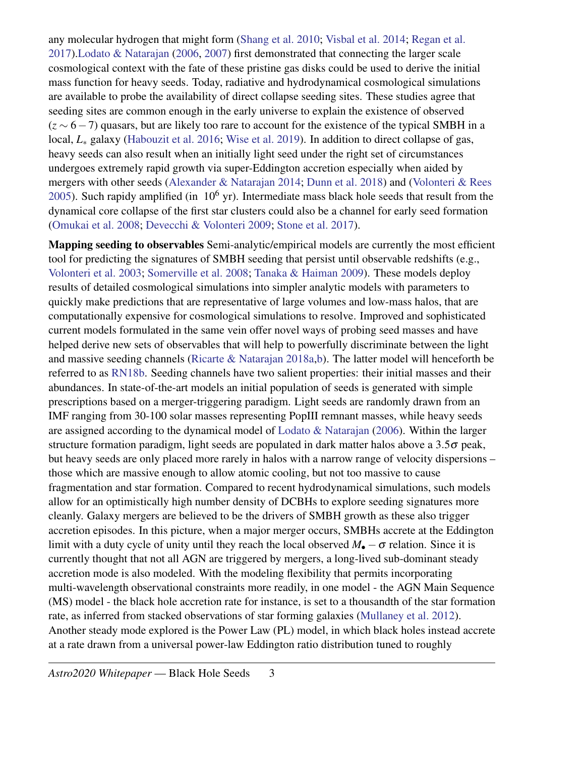any molecular hydrogen that might form [\(Shang et al.](#page-6-15) [2010;](#page-6-15) [Visbal et al.](#page-7-3) [2014;](#page-7-3) [Regan et al.](#page-6-16) [2017\)](#page-6-16)[.Lodato & Natarajan](#page-6-14) [\(2006,](#page-6-14) [2007\)](#page-6-17) first demonstrated that connecting the larger scale cosmological context with the fate of these pristine gas disks could be used to derive the initial mass function for heavy seeds. Today, radiative and hydrodynamical cosmological simulations are available to probe the availability of direct collapse seeding sites. These studies agree that seeding sites are common enough in the early universe to explain the existence of observed (*z* ∼ 6−7) quasars, but are likely too rare to account for the existence of the typical SMBH in a local, *L*<sup>∗</sup> galaxy [\(Habouzit et al.](#page-6-18) [2016;](#page-6-18) [Wise et al.](#page-7-4) [2019\)](#page-7-4). In addition to direct collapse of gas, heavy seeds can also result when an initially light seed under the right set of circumstances undergoes extremely rapid growth via super-Eddington accretion especially when aided by mergers with other seeds [\(Alexander & Natarajan](#page-5-8) [2014;](#page-5-8) [Dunn et al.](#page-5-9) [2018\)](#page-5-9) and [\(Volonteri & Rees](#page-7-5) [2005\)](#page-7-5). Such rapidy amplified (in  $10^6$  yr). Intermediate mass black hole seeds that result from the dynamical core collapse of the first star clusters could also be a channel for early seed formation [\(Omukai et al.](#page-6-19) [2008;](#page-6-19) [Devecchi & Volonteri](#page-5-10) [2009;](#page-5-10) [Stone et al.](#page-6-20) [2017\)](#page-6-20).

Mapping seeding to observables Semi-analytic/empirical models are currently the most efficient tool for predicting the signatures of SMBH seeding that persist until observable redshifts (e.g., [Volonteri et al.](#page-7-6) [2003;](#page-7-6) [Somerville et al.](#page-6-21) [2008;](#page-6-21) [Tanaka & Haiman](#page-6-22) [2009\)](#page-6-22). These models deploy results of detailed cosmological simulations into simpler analytic models with parameters to quickly make predictions that are representative of large volumes and low-mass halos, that are computationally expensive for cosmological simulations to resolve. Improved and sophisticated current models formulated in the same vein offer novel ways of probing seed masses and have helped derive new sets of observables that will help to powerfully discriminate between the light and massive seeding channels [\(Ricarte & Natarajan](#page-6-23) [2018a,](#page-6-23)[b\)](#page-6-24). The latter model will henceforth be referred to as [RN18b.](#page-6-24) Seeding channels have two salient properties: their initial masses and their abundances. In state-of-the-art models an initial population of seeds is generated with simple prescriptions based on a merger-triggering paradigm. Light seeds are randomly drawn from an IMF ranging from 30-100 solar masses representing PopIII remnant masses, while heavy seeds are assigned according to the dynamical model of [Lodato & Natarajan](#page-6-14) [\(2006\)](#page-6-14). Within the larger structure formation paradigm, light seeds are populated in dark matter halos above a  $3.5\sigma$  peak, but heavy seeds are only placed more rarely in halos with a narrow range of velocity dispersions – those which are massive enough to allow atomic cooling, but not too massive to cause fragmentation and star formation. Compared to recent hydrodynamical simulations, such models allow for an optimistically high number density of DCBHs to explore seeding signatures more cleanly. Galaxy mergers are believed to be the drivers of SMBH growth as these also trigger accretion episodes. In this picture, when a major merger occurs, SMBHs accrete at the Eddington limit with a duty cycle of unity until they reach the local observed  $M_{\bullet} - \sigma$  relation. Since it is currently thought that not all AGN are triggered by mergers, a long-lived sub-dominant steady accretion mode is also modeled. With the modeling flexibility that permits incorporating multi-wavelength observational constraints more readily, in one model - the AGN Main Sequence (MS) model - the black hole accretion rate for instance, is set to a thousandth of the star formation rate, as inferred from stacked observations of star forming galaxies [\(Mullaney et al.](#page-6-25) [2012\)](#page-6-25). Another steady mode explored is the Power Law (PL) model, in which black holes instead accrete at a rate drawn from a universal power-law Eddington ratio distribution tuned to roughly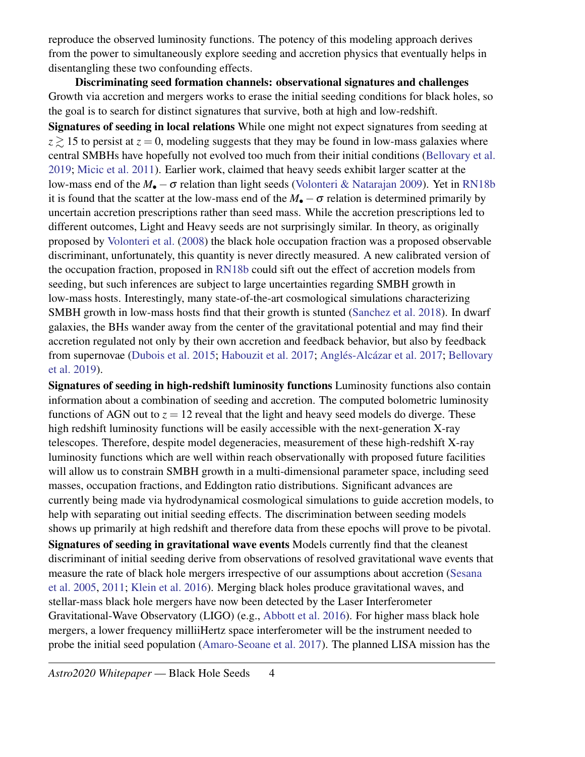reproduce the observed luminosity functions. The potency of this modeling approach derives from the power to simultaneously explore seeding and accretion physics that eventually helps in disentangling these two confounding effects.

Discriminating seed formation channels: observational signatures and challenges Growth via accretion and mergers works to erase the initial seeding conditions for black holes, so the goal is to search for distinct signatures that survive, both at high and low-redshift.

Signatures of seeding in local relations While one might not expect signatures from seeding at  $z \ge 15$  to persist at  $z = 0$ , modeling suggests that they may be found in low-mass galaxies where central SMBHs have hopefully not evolved too much from their initial conditions [\(Bellovary et al.](#page-5-11) [2019;](#page-5-11) [Micic et al.](#page-6-26) [2011\)](#page-6-26). Earlier work, claimed that heavy seeds exhibit larger scatter at the low-mass end of the *M*• −σ relation than light seeds [\(Volonteri & Natarajan](#page-7-7) [2009\)](#page-7-7). Yet in [RN18b](#page-6-24) it is found that the scatter at the low-mass end of the  $M_{\bullet} - \sigma$  relation is determined primarily by uncertain accretion prescriptions rather than seed mass. While the accretion prescriptions led to different outcomes, Light and Heavy seeds are not surprisingly similar. In theory, as originally proposed by [Volonteri et al.](#page-7-8) [\(2008\)](#page-7-8) the black hole occupation fraction was a proposed observable discriminant, unfortunately, this quantity is never directly measured. A new calibrated version of the occupation fraction, proposed in [RN18b](#page-6-24) could sift out the effect of accretion models from seeding, but such inferences are subject to large uncertainties regarding SMBH growth in low-mass hosts. Interestingly, many state-of-the-art cosmological simulations characterizing SMBH growth in low-mass hosts find that their growth is stunted [\(Sanchez et al.](#page-6-27) [2018\)](#page-6-27). In dwarf galaxies, the BHs wander away from the center of the gravitational potential and may find their accretion regulated not only by their own accretion and feedback behavior, but also by feedback from supernovae [\(Dubois et al.](#page-5-12) [2015;](#page-5-12) [Habouzit et al.](#page-5-13) [2017;](#page-5-14) Anglés-Alcázar et al. 2017; [Bellovary](#page-5-11) [et al.](#page-5-11) [2019\)](#page-5-11).

Signatures of seeding in high-redshift luminosity functions Luminosity functions also contain information about a combination of seeding and accretion. The computed bolometric luminosity functions of AGN out to  $z = 12$  reveal that the light and heavy seed models do diverge. These high redshift luminosity functions will be easily accessible with the next-generation X-ray telescopes. Therefore, despite model degeneracies, measurement of these high-redshift X-ray luminosity functions which are well within reach observationally with proposed future facilities will allow us to constrain SMBH growth in a multi-dimensional parameter space, including seed masses, occupation fractions, and Eddington ratio distributions. Significant advances are currently being made via hydrodynamical cosmological simulations to guide accretion models, to help with separating out initial seeding effects. The discrimination between seeding models shows up primarily at high redshift and therefore data from these epochs will prove to be pivotal. Signatures of seeding in gravitational wave events Models currently find that the cleanest discriminant of initial seeding derive from observations of resolved gravitational wave events that measure the rate of black hole mergers irrespective of our assumptions about accretion [\(Sesana](#page-6-28) [et al.](#page-6-28) [2005,](#page-6-28) [2011;](#page-6-29) [Klein et al.](#page-6-30) [2016\)](#page-6-30). Merging black holes produce gravitational waves, and stellar-mass black hole mergers have now been detected by the Laser Interferometer Gravitational-Wave Observatory (LIGO) (e.g., [Abbott et al.](#page-5-15) [2016\)](#page-5-15). For higher mass black hole mergers, a lower frequency milliiHertz space interferometer will be the instrument needed to probe the initial seed population [\(Amaro-Seoane et al.](#page-5-16) [2017\)](#page-5-16). The planned LISA mission has the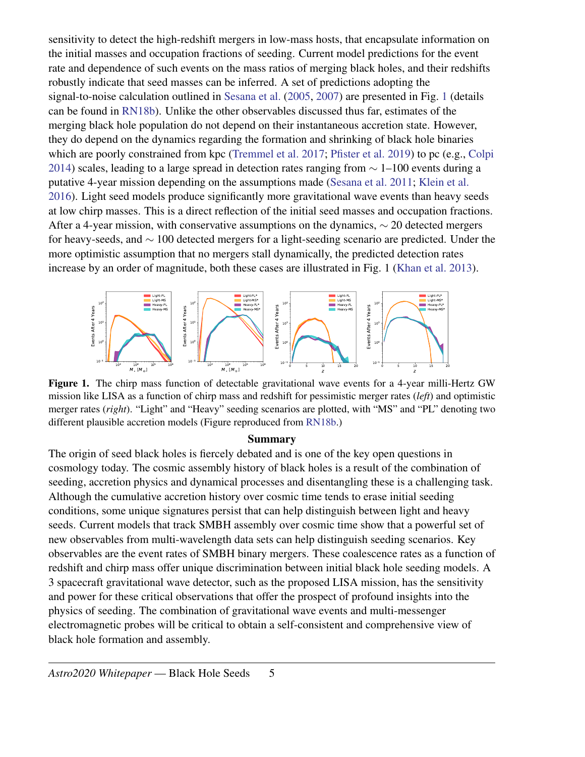sensitivity to detect the high-redshift mergers in low-mass hosts, that encapsulate information on the initial masses and occupation fractions of seeding. Current model predictions for the event rate and dependence of such events on the mass ratios of merging black holes, and their redshifts robustly indicate that seed masses can be inferred. A set of predictions adopting the signal-to-noise calculation outlined in [Sesana et al.](#page-6-28) [\(2005,](#page-6-28) [2007\)](#page-6-31) are presented in Fig. [1](#page-4-0) (details can be found in [RN18b\)](#page-6-24). Unlike the other observables discussed thus far, estimates of the merging black hole population do not depend on their instantaneous accretion state. However, they do depend on the dynamics regarding the formation and shrinking of black hole binaries which are poorly constrained from kpc [\(Tremmel et al.](#page-6-32) [2017;](#page-6-32) [Pfister et al.](#page-6-33) [2019\)](#page-6-33) to pc (e.g., [Colpi](#page-5-17) [2014\)](#page-5-17) scales, leading to a large spread in detection rates ranging from  $\sim$  1–100 events during a putative 4-year mission depending on the assumptions made [\(Sesana et al.](#page-6-29) [2011;](#page-6-29) [Klein et al.](#page-6-30) [2016\)](#page-6-30). Light seed models produce significantly more gravitational wave events than heavy seeds at low chirp masses. This is a direct reflection of the initial seed masses and occupation fractions. After a 4-year mission, with conservative assumptions on the dynamics,  $\sim$  20 detected mergers for heavy-seeds, and ∼ 100 detected mergers for a light-seeding scenario are predicted. Under the more optimistic assumption that no mergers stall dynamically, the predicted detection rates increase by an order of magnitude, both these cases are illustrated in Fig. 1 [\(Khan et al.](#page-6-34) [2013\)](#page-6-34).



<span id="page-4-0"></span>Figure 1. The chirp mass function of detectable gravitational wave events for a 4-year milli-Hertz GW mission like LISA as a function of chirp mass and redshift for pessimistic merger rates (*left*) and optimistic merger rates (*right*). "Light" and "Heavy" seeding scenarios are plotted, with "MS" and "PL" denoting two different plausible accretion models (Figure reproduced from [RN18b.](#page-6-24))

#### Summary

The origin of seed black holes is fiercely debated and is one of the key open questions in cosmology today. The cosmic assembly history of black holes is a result of the combination of seeding, accretion physics and dynamical processes and disentangling these is a challenging task. Although the cumulative accretion history over cosmic time tends to erase initial seeding conditions, some unique signatures persist that can help distinguish between light and heavy seeds. Current models that track SMBH assembly over cosmic time show that a powerful set of new observables from multi-wavelength data sets can help distinguish seeding scenarios. Key observables are the event rates of SMBH binary mergers. These coalescence rates as a function of redshift and chirp mass offer unique discrimination between initial black hole seeding models. A 3 spacecraft gravitational wave detector, such as the proposed LISA mission, has the sensitivity and power for these critical observations that offer the prospect of profound insights into the physics of seeding. The combination of gravitational wave events and multi-messenger electromagnetic probes will be critical to obtain a self-consistent and comprehensive view of black hole formation and assembly.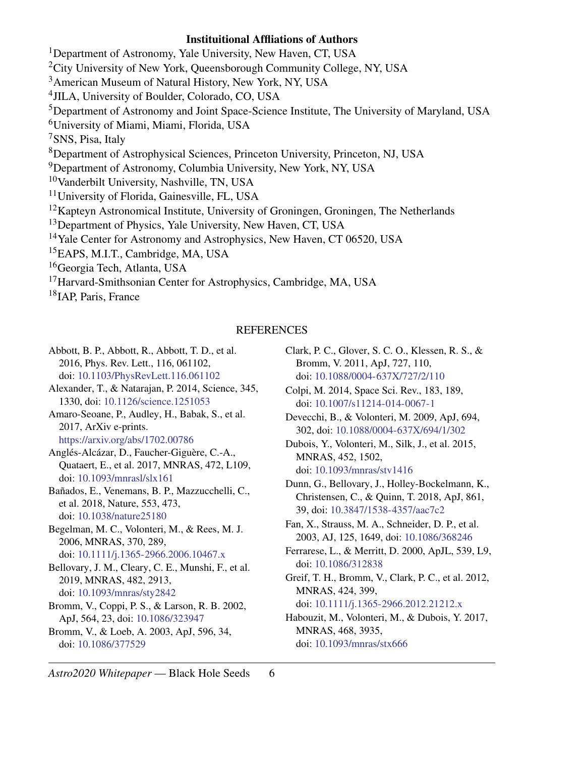## Instituitional Affliations of Authors

<sup>1</sup>Department of Astronomy, Yale University, New Haven, CT, USA <sup>2</sup>City University of New York, Queensborough Community College, NY, USA <sup>3</sup>American Museum of Natural History, New York, NY, USA 4 JILA, University of Boulder, Colorado, CO, USA <sup>5</sup>Department of Astronomy and Joint Space-Science Institute, The University of Maryland, USA <sup>6</sup>University of Miami, Miami, Florida, USA <sup>7</sup>SNS, Pisa, Italy <sup>8</sup>Department of Astrophysical Sciences, Princeton University, Princeton, NJ, USA <sup>9</sup>Department of Astronomy, Columbia University, New York, NY, USA <sup>10</sup>Vanderbilt University, Nashville, TN, USA <sup>11</sup>University of Florida, Gainesville, FL, USA  $12$ Kapteyn Astronomical Institute, University of Groningen, Groningen, The Netherlands <sup>13</sup>Department of Physics, Yale University, New Haven, CT, USA <sup>14</sup>Yale Center for Astronomy and Astrophysics, New Haven, CT 06520, USA <sup>15</sup>EAPS, M.I.T., Cambridge, MA, USA <sup>16</sup>Georgia Tech, Atlanta, USA <sup>17</sup> Harvard-Smithsonian Center for Astrophysics, Cambridge, MA, USA <sup>18</sup>IAP, Paris, France

#### **REFERENCES**

<span id="page-5-16"></span><span id="page-5-15"></span><span id="page-5-14"></span><span id="page-5-8"></span><span id="page-5-2"></span>Abbott, B. P., Abbott, R., Abbott, T. D., et al. 2016, Phys. Rev. Lett., 116, 061102, doi: [10.1103/PhysRevLett.116.061102](http://doi.org/10.1103/PhysRevLett.116.061102) Alexander, T., & Natarajan, P. 2014, Science, 345, 1330, doi: [10.1126/science.1251053](http://doi.org/10.1126/science.1251053) Amaro-Seoane, P., Audley, H., Babak, S., et al. 2017, ArXiv e-prints. <https://arxiv.org/abs/1702.00786> Anglés-Alcázar, D., Faucher-Giguère, C.-A., Quataert, E., et al. 2017, MNRAS, 472, L109, doi: [10.1093/mnrasl/slx161](http://doi.org/10.1093/mnrasl/slx161) Bañados, E., Venemans, B. P., Mazzucchelli, C., et al. 2018, Nature, 553, 473, doi: [10.1038/nature25180](http://doi.org/10.1038/nature25180) Begelman, M. C., Volonteri, M., & Rees, M. J. 2006, MNRAS, 370, 289, doi: [10.1111/j.1365-2966.2006.10467.x](http://doi.org/10.1111/j.1365-2966.2006.10467.x) Bellovary, J. M., Cleary, C. E., Munshi, F., et al. 2019, MNRAS, 482, 2913, doi: [10.1093/mnras/sty2842](http://doi.org/10.1093/mnras/sty2842) Bromm, V., Coppi, P. S., & Larson, R. B. 2002, ApJ, 564, 23, doi: [10.1086/323947](http://doi.org/10.1086/323947) Bromm, V., & Loeb, A. 2003, ApJ, 596, 34, doi: [10.1086/377529](http://doi.org/10.1086/377529)

<span id="page-5-4"></span>Clark, P. C., Glover, S. C. O., Klessen, R. S., & Bromm, V. 2011, ApJ, 727, 110, doi: [10.1088/0004-637X/727/2/110](http://doi.org/10.1088/0004-637X/727/2/110)

<span id="page-5-17"></span>Colpi, M. 2014, Space Sci. Rev., 183, 189, doi: [10.1007/s11214-014-0067-1](http://doi.org/10.1007/s11214-014-0067-1)

<span id="page-5-10"></span>Devecchi, B., & Volonteri, M. 2009, ApJ, 694, 302, doi: [10.1088/0004-637X/694/1/302](http://doi.org/10.1088/0004-637X/694/1/302)

<span id="page-5-12"></span>Dubois, Y., Volonteri, M., Silk, J., et al. 2015, MNRAS, 452, 1502, doi: [10.1093/mnras/stv1416](http://doi.org/10.1093/mnras/stv1416)

<span id="page-5-9"></span>Dunn, G., Bellovary, J., Holley-Bockelmann, K., Christensen, C., & Quinn, T. 2018, ApJ, 861, 39, doi: [10.3847/1538-4357/aac7c2](http://doi.org/10.3847/1538-4357/aac7c2)

<span id="page-5-1"></span>Fan, X., Strauss, M. A., Schneider, D. P., et al. 2003, AJ, 125, 1649, doi: [10.1086/368246](http://doi.org/10.1086/368246)

<span id="page-5-0"></span>Ferrarese, L., & Merritt, D. 2000, ApJL, 539, L9, doi: [10.1086/312838](http://doi.org/10.1086/312838)

<span id="page-5-5"></span>Greif, T. H., Bromm, V., Clark, P. C., et al. 2012, MNRAS, 424, 399, doi: [10.1111/j.1365-2966.2012.21212.x](http://doi.org/10.1111/j.1365-2966.2012.21212.x)

<span id="page-5-13"></span>Habouzit, M., Volonteri, M., & Dubois, Y. 2017, MNRAS, 468, 3935, doi: [10.1093/mnras/stx666](http://doi.org/10.1093/mnras/stx666)

<span id="page-5-11"></span><span id="page-5-7"></span><span id="page-5-6"></span><span id="page-5-3"></span>*Astro2020 Whitepaper* — Black Hole Seeds 6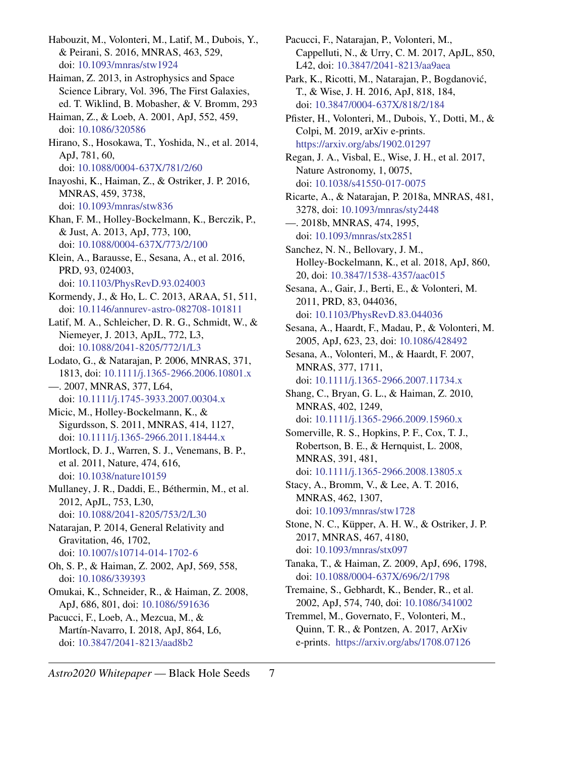<span id="page-6-18"></span>Habouzit, M., Volonteri, M., Latif, M., Dubois, Y., & Peirani, S. 2016, MNRAS, 463, 529, doi: [10.1093/mnras/stw1924](http://doi.org/10.1093/mnras/stw1924)

- <span id="page-6-7"></span>Haiman, Z. 2013, in Astrophysics and Space Science Library, Vol. 396, The First Galaxies, ed. T. Wiklind, B. Mobasher, & V. Bromm, 293
- <span id="page-6-3"></span>Haiman, Z., & Loeb, A. 2001, ApJ, 552, 459, doi: [10.1086/320586](http://doi.org/10.1086/320586)
- <span id="page-6-10"></span>Hirano, S., Hosokawa, T., Yoshida, N., et al. 2014, ApJ, 781, 60,
	- doi: [10.1088/0004-637X/781/2/60](http://doi.org/10.1088/0004-637X/781/2/60)
- <span id="page-6-12"></span>Inayoshi, K., Haiman, Z., & Ostriker, J. P. 2016, MNRAS, 459, 3738, doi: [10.1093/mnras/stw836](http://doi.org/10.1093/mnras/stw836)
- <span id="page-6-34"></span>Khan, F. M., Holley-Bockelmann, K., Berczik, P., & Just, A. 2013, ApJ, 773, 100, doi: [10.1088/0004-637X/773/2/100](http://doi.org/10.1088/0004-637X/773/2/100)
- <span id="page-6-30"></span>Klein, A., Barausse, E., Sesana, A., et al. 2016, PRD, 93, 024003,
- doi: [10.1103/PhysRevD.93.024003](http://doi.org/10.1103/PhysRevD.93.024003)
- <span id="page-6-1"></span>Kormendy, J., & Ho, L. C. 2013, ARAA, 51, 511, doi: [10.1146/annurev-astro-082708-101811](http://doi.org/10.1146/annurev-astro-082708-101811)
- <span id="page-6-9"></span>Latif, M. A., Schleicher, D. R. G., Schmidt, W., & Niemeyer, J. 2013, ApJL, 772, L3, doi: [10.1088/2041-8205/772/1/L3](http://doi.org/10.1088/2041-8205/772/1/L3)
- <span id="page-6-14"></span>Lodato, G., & Natarajan, P. 2006, MNRAS, 371, 1813, doi: [10.1111/j.1365-2966.2006.10801.x](http://doi.org/10.1111/j.1365-2966.2006.10801.x) —. 2007, MNRAS, 377, L64,
- <span id="page-6-26"></span><span id="page-6-17"></span>doi: [10.1111/j.1745-3933.2007.00304.x](http://doi.org/10.1111/j.1745-3933.2007.00304.x) Micic, M., Holley-Bockelmann, K., & Sigurdsson, S. 2011, MNRAS, 414, 1127,
- <span id="page-6-2"></span>doi: [10.1111/j.1365-2966.2011.18444.x](http://doi.org/10.1111/j.1365-2966.2011.18444.x) Mortlock, D. J., Warren, S. J., Venemans, B. P., et al. 2011, Nature, 474, 616, doi: [10.1038/nature10159](http://doi.org/10.1038/nature10159)
- <span id="page-6-25"></span>Mullaney, J. R., Daddi, E., Béthermin, M., et al. 2012, ApJL, 753, L30, doi: [10.1088/2041-8205/753/2/L30](http://doi.org/10.1088/2041-8205/753/2/L30)
- <span id="page-6-8"></span>Natarajan, P. 2014, General Relativity and Gravitation, 46, 1702, doi: [10.1007/s10714-014-1702-6](http://doi.org/10.1007/s10714-014-1702-6)
- <span id="page-6-13"></span>Oh, S. P., & Haiman, Z. 2002, ApJ, 569, 558, doi: [10.1086/339393](http://doi.org/10.1086/339393)
- <span id="page-6-19"></span>Omukai, K., Schneider, R., & Haiman, Z. 2008, ApJ, 686, 801, doi: [10.1086/591636](http://doi.org/10.1086/591636)
- <span id="page-6-6"></span>Pacucci, F., Loeb, A., Mezcua, M., & Martín-Navarro, I. 2018, ApJ, 864, L6, doi: [10.3847/2041-8213/aad8b2](http://doi.org/10.3847/2041-8213/aad8b2)
- <span id="page-6-5"></span>Pacucci, F., Natarajan, P., Volonteri, M., Cappelluti, N., & Urry, C. M. 2017, ApJL, 850, L42, doi: [10.3847/2041-8213/aa9aea](http://doi.org/10.3847/2041-8213/aa9aea)
- <span id="page-6-4"></span>Park, K., Ricotti, M., Natarajan, P., Bogdanovic,´ T., & Wise, J. H. 2016, ApJ, 818, 184, doi: [10.3847/0004-637X/818/2/184](http://doi.org/10.3847/0004-637X/818/2/184)
- <span id="page-6-33"></span>Pfister, H., Volonteri, M., Dubois, Y., Dotti, M., & Colpi, M. 2019, arXiv e-prints. <https://arxiv.org/abs/1902.01297>
- <span id="page-6-16"></span>Regan, J. A., Visbal, E., Wise, J. H., et al. 2017, Nature Astronomy, 1, 0075, doi: [10.1038/s41550-017-0075](http://doi.org/10.1038/s41550-017-0075)
- <span id="page-6-23"></span>Ricarte, A., & Natarajan, P. 2018a, MNRAS, 481, 3278, doi: [10.1093/mnras/sty2448](http://doi.org/10.1093/mnras/sty2448)
- <span id="page-6-24"></span>—. 2018b, MNRAS, 474, 1995, doi: [10.1093/mnras/stx2851](http://doi.org/10.1093/mnras/stx2851)
- <span id="page-6-27"></span>Sanchez, N. N., Bellovary, J. M., Holley-Bockelmann, K., et al. 2018, ApJ, 860, 20, doi: [10.3847/1538-4357/aac015](http://doi.org/10.3847/1538-4357/aac015)
- <span id="page-6-29"></span>Sesana, A., Gair, J., Berti, E., & Volonteri, M. 2011, PRD, 83, 044036, doi: [10.1103/PhysRevD.83.044036](http://doi.org/10.1103/PhysRevD.83.044036)
- <span id="page-6-28"></span>Sesana, A., Haardt, F., Madau, P., & Volonteri, M. 2005, ApJ, 623, 23, doi: [10.1086/428492](http://doi.org/10.1086/428492)
- <span id="page-6-31"></span>Sesana, A., Volonteri, M., & Haardt, F. 2007, MNRAS, 377, 1711, doi: [10.1111/j.1365-2966.2007.11734.x](http://doi.org/10.1111/j.1365-2966.2007.11734.x)
- <span id="page-6-15"></span>Shang, C., Bryan, G. L., & Haiman, Z. 2010, MNRAS, 402, 1249, doi: [10.1111/j.1365-2966.2009.15960.x](http://doi.org/10.1111/j.1365-2966.2009.15960.x)
- <span id="page-6-21"></span>Somerville, R. S., Hopkins, P. F., Cox, T. J., Robertson, B. E., & Hernquist, L. 2008, MNRAS, 391, 481, doi: [10.1111/j.1365-2966.2008.13805.x](http://doi.org/10.1111/j.1365-2966.2008.13805.x)
- <span id="page-6-11"></span>Stacy, A., Bromm, V., & Lee, A. T. 2016, MNRAS, 462, 1307, doi: [10.1093/mnras/stw1728](http://doi.org/10.1093/mnras/stw1728)
- <span id="page-6-20"></span>Stone, N. C., Küpper, A. H. W., & Ostriker, J. P. 2017, MNRAS, 467, 4180, doi: [10.1093/mnras/stx097](http://doi.org/10.1093/mnras/stx097)
- <span id="page-6-22"></span>Tanaka, T., & Haiman, Z. 2009, ApJ, 696, 1798, doi: [10.1088/0004-637X/696/2/1798](http://doi.org/10.1088/0004-637X/696/2/1798)
- <span id="page-6-0"></span>Tremaine, S., Gebhardt, K., Bender, R., et al. 2002, ApJ, 574, 740, doi: [10.1086/341002](http://doi.org/10.1086/341002)
- <span id="page-6-32"></span>Tremmel, M., Governato, F., Volonteri, M., Quinn, T. R., & Pontzen, A. 2017, ArXiv e-prints. <https://arxiv.org/abs/1708.07126>

*Astro2020 Whitepaper* — Black Hole Seeds 7